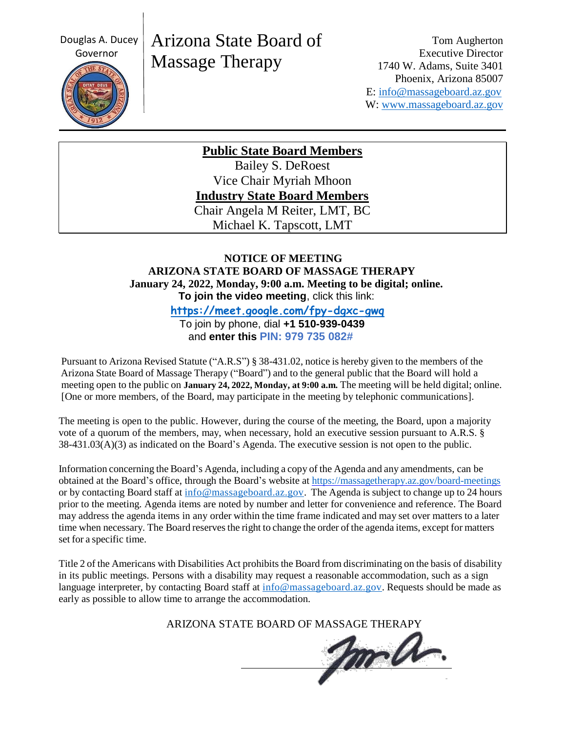Douglas A. Ducey



# Arizona State Board of Massage Therapy

Tom Augherton Executive Director 1740 W. Adams, Suite 3401 Phoenix, Arizona 85007 E: [info@massageboard.az.gov](mailto:info@massageboard.az.gov) W: [www.massageboard.az.gov](http://www.massageboard.az.gov/)

**Public State Board Members**

Bailey S. DeRoest Vice Chair Myriah Mhoon **Industry State Board Members** Chair Angela M Reiter, LMT, BC Michael K. Tapscott, LMT

## **NOTICE OF MEETING ARIZONA STATE BOARD OF MASSAGE THERAPY January 24, 2022, Monday, 9:00 a.m. Meeting to be digital; online. To join the video meeting**, click this link:

 **<https://meet.google.com/fpy-dgxc-gwq>** To join by phone, dial **+1 510-939-0439**

and **enter this PIN: 979 735 082#**

Pursuant to Arizona Revised Statute ("A.R.S") § 38-431.02, notice is hereby given to the members of the Arizona State Board of Massage Therapy ("Board") and to the general public that the Board will hold a meeting open to the public on **January 24, 2022, Monday, at 9:00 a.m.** The meeting will be held digital; online. [One or more members, of the Board, may participate in the meeting by telephonic communications].

The meeting is open to the public. However, during the course of the meeting, the Board, upon a majority vote of a quorum of the members, may, when necessary, hold an executive session pursuant to A.R.S. § 38-431.03(A)(3) as indicated on the Board's Agenda. The executive session is not open to the public.

Information concerning the Board's Agenda, including a copy of the Agenda and any amendments, can be obtained at the Board's office, through the Board's website at<https://massagetherapy.az.gov/board-meetings> or by contacting Board staff at  $\frac{info@massageboard.az.gov}$ . The Agenda is subject to change up to 24 hours prior to the meeting. Agenda items are noted by number and letter for convenience and reference. The Board may address the agenda items in any order within the time frame indicated and may set over matters to a later time when necessary. The Board reservesthe right to change the order of the agenda items, except for matters set for a specific time.

Title 2 of the Americans with Disabilities Act prohibits the Board from discriminating on the basis of disability in its public meetings. Persons with a disability may request a reasonable accommodation, such as a sign language interpreter, by contacting Board staff at [info@massageboard.az.gov.](mailto:info@massageboard.az.gov) Requests should be made as early as possible to allow time to arrange the accommodation.

ARIZONA STATE BOARD OF MASSAGE THERAPY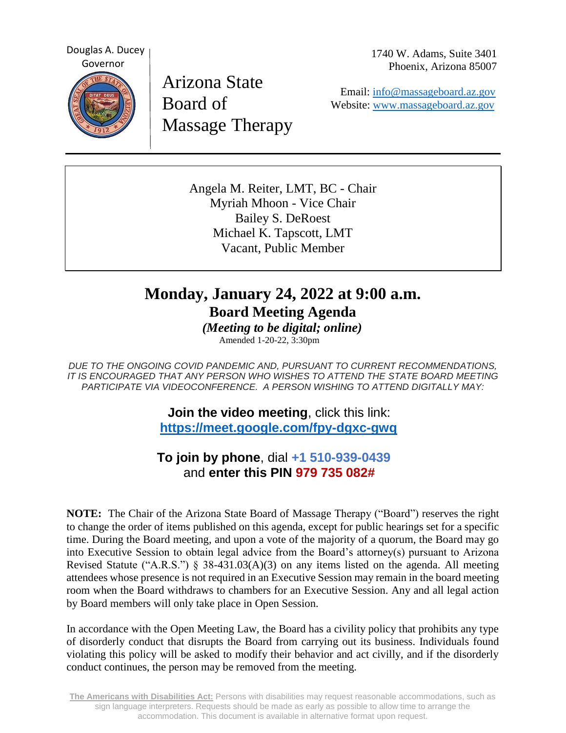Douglas A. Ducey Governor



Arizona State Board of Massage Therapy 1740 W. Adams, Suite 3401 Phoenix, Arizona 85007

 Email: [info@massageboard.az.gov](mailto:info@massageboard.az.gov) Website: [www.massageboard.az.gov](http://www.massageboard.az.gov/)

Angela M. Reiter, LMT, BC - Chair Myriah Mhoon - Vice Chair Bailey S. DeRoest Michael K. Tapscott, LMT Vacant, Public Member

# **Monday, January 24, 2022 at 9:00 a.m. Board Meeting Agenda**

 *(Meeting to be digital; online)* Amended 1-20-22, 3:30pm

*DUE TO THE ONGOING COVID PANDEMIC AND, PURSUANT TO CURRENT RECOMMENDATIONS, IT IS ENCOURAGED THAT ANY PERSON WHO WISHES TO ATTEND THE STATE BOARD MEETING PARTICIPATE VIA VIDEOCONFERENCE. A PERSON WISHING TO ATTEND DIGITALLY MAY:*

> **Join the video meeting**, click this link:  **<https://meet.google.com/fpy-dgxc-gwq>**

 **To join by phone**, dial **+1 510-939-0439** and **enter this PIN 979 735 082#**

**NOTE:** The Chair of the Arizona State Board of Massage Therapy ("Board") reserves the right to change the order of items published on this agenda, except for public hearings set for a specific time. During the Board meeting, and upon a vote of the majority of a quorum, the Board may go into Executive Session to obtain legal advice from the Board's attorney(s) pursuant to Arizona Revised Statute ("A.R.S.") § 38-431.03(A)(3) on any items listed on the agenda. All meeting attendees whose presence is not required in an Executive Session may remain in the board meeting room when the Board withdraws to chambers for an Executive Session. Any and all legal action by Board members will only take place in Open Session.

In accordance with the Open Meeting Law, the Board has a civility policy that prohibits any type of disorderly conduct that disrupts the Board from carrying out its business. Individuals found violating this policy will be asked to modify their behavior and act civilly, and if the disorderly conduct continues, the person may be removed from the meeting.

**The Americans with Disabilities Act:** Persons with disabilities may request reasonable accommodations, such as sign language interpreters. Requests should be made as early as possible to allow time to arrange the accommodation. This document is available in alternative format upon request.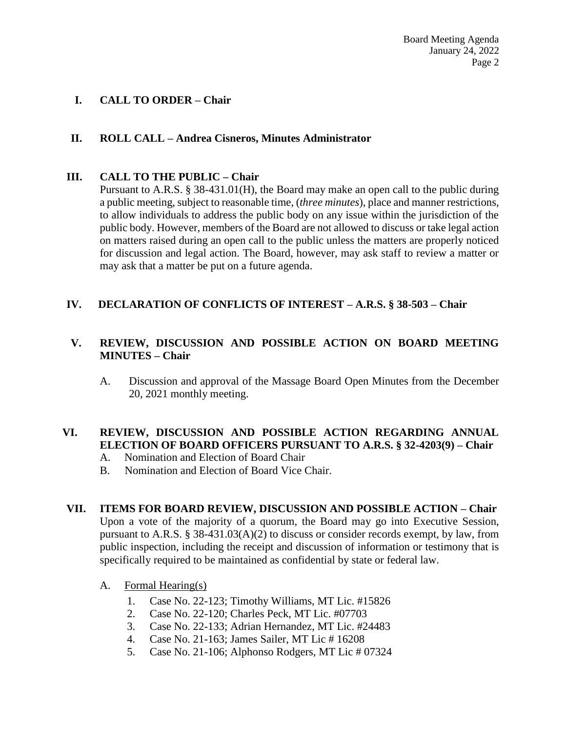Board Meeting Agenda January 24, 2022 Page 2

### **I. CALL TO ORDER – Chair**

#### **II. ROLL CALL – Andrea Cisneros, Minutes Administrator**

#### **III. CALL TO THE PUBLIC – Chair**

Pursuant to A.R.S. § 38-431.01(H), the Board may make an open call to the public during a public meeting, subject to reasonable time, (*three minutes*), place and manner restrictions, to allow individuals to address the public body on any issue within the jurisdiction of the public body. However, members of the Board are not allowed to discuss or take legal action on matters raised during an open call to the public unless the matters are properly noticed for discussion and legal action. The Board, however, may ask staff to review a matter or may ask that a matter be put on a future agenda.

#### **IV. DECLARATION OF CONFLICTS OF INTEREST – A.R.S. § 38-503 – Chair**

## **V. REVIEW, DISCUSSION AND POSSIBLE ACTION ON BOARD MEETING MINUTES – Chair**

A. Discussion and approval of the Massage Board Open Minutes from the December 20, 2021 monthly meeting.

#### **VI. REVIEW, DISCUSSION AND POSSIBLE ACTION REGARDING ANNUAL ELECTION OF BOARD OFFICERS PURSUANT TO A.R.S. § 32-4203(9) – Chair**

- A. Nomination and Election of Board Chair
- B. Nomination and Election of Board Vice Chair.

#### **VII. ITEMS FOR BOARD REVIEW, DISCUSSION AND POSSIBLE ACTION – Chair**

Upon a vote of the majority of a quorum, the Board may go into Executive Session, pursuant to A.R.S. § 38-431.03(A)(2) to discuss or consider records exempt, by law, from public inspection, including the receipt and discussion of information or testimony that is specifically required to be maintained as confidential by state or federal law.

- A. Formal Hearing(s)
	- 1. Case No. 22-123; Timothy Williams, MT Lic. #15826
	- 2. Case No. 22-120; Charles Peck, MT Lic. #07703
	- 3. Case No. 22-133; Adrian Hernandez, MT Lic. #24483
	- 4. Case No. 21-163; James Sailer, MT Lic # 16208
	- 5. Case No. 21-106; Alphonso Rodgers, MT Lic # 07324